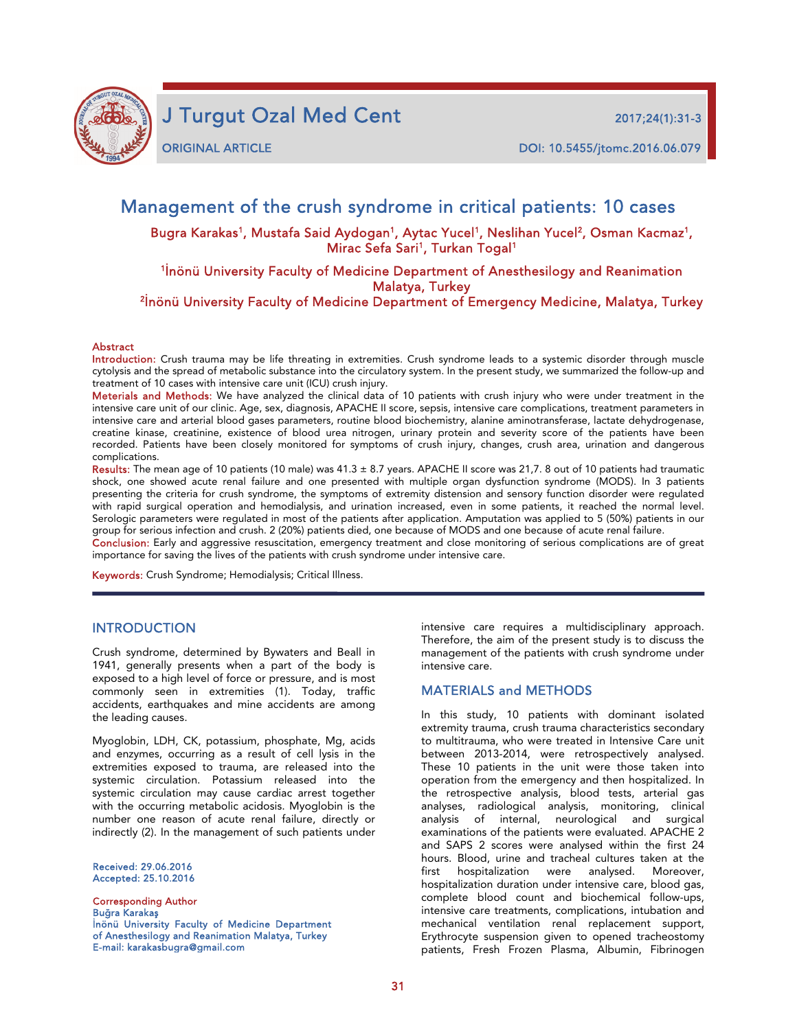

j

J Turgut Ozal Med Cent 2017;24(1):31-3

ORIGINAL ARTICLE DOI: 10.5455/jtomc.2016.06.079

## Management of the crush syndrome in critical patients: 10 cases

Bugra Karakas<sup>1</sup>, Mustafa Said Aydogan<sup>1</sup>, Aytac Yucel<sup>1</sup>, Neslihan Yucel<sup>2</sup>, Osman Kacmaz<sup>1</sup>, Mirac Sefa Sari<sup>1</sup>, Turkan Togal<sup>1</sup>

# 1 İnönü University Faculty of Medicine Department of Anesthesilogy and Reanimation Malatya, Turkey<br><sup>2</sup>İnönü University Faculty of Medicine Department of Emergency Medicine, Malatya, Turkey

#### **Abstract**

Introduction: Crush trauma may be life threating in extremities. Crush syndrome leads to a systemic disorder through muscle cytolysis and the spread of metabolic substance into the circulatory system. In the present study, we summarized the follow-up and treatment of 10 cases with intensive care unit (ICU) crush injury.

Meterials and Methods: We have analyzed the clinical data of 10 patients with crush injury who were under treatment in the intensive care unit of our clinic. Age, sex, diagnosis, APACHE II score, sepsis, intensive care complications, treatment parameters in intensive care and arterial blood gases parameters, routine blood biochemistry, alanine aminotransferase, lactate dehydrogenase, creatine kinase, creatinine, existence of blood urea nitrogen, urinary protein and severity score of the patients have been recorded. Patients have been closely monitored for symptoms of crush injury, changes, crush area, urination and dangerous complications.

Results: The mean age of 10 patients (10 male) was  $41.3 \pm 8.7$  years. APACHE II score was 21,7. 8 out of 10 patients had traumatic shock, one showed acute renal failure and one presented with multiple organ dysfunction syndrome (MODS). In 3 patients presenting the criteria for crush syndrome, the symptoms of extremity distension and sensory function disorder were regulated with rapid surgical operation and hemodialysis, and urination increased, even in some patients, it reached the normal level. Serologic parameters were regulated in most of the patients after application. Amputation was applied to 5 (50%) patients in our group for serious infection and crush. 2 (20%) patients died, one because of MODS and one because of acute renal failure.

Conclusion: Early and aggressive resuscitation, emergency treatment and close monitoring of serious complications are of great importance for saving the lives of the patients with crush syndrome under intensive care.

Keywords: Crush Syndrome; Hemodialysis; Critical Illness.

### **INTRODUCTION**

Crush syndrome, determined by Bywaters and Beall in 1941, generally presents when a part of the body is exposed to a high level of force or pressure, and is most commonly seen in extremities (1). Today, traffic accidents, earthquakes and mine accidents are among the leading causes.

Myoglobin, LDH, CK, potassium, phosphate, Mg, acids and enzymes, occurring as a result of cell lysis in the extremities exposed to trauma, are released into the systemic circulation. Potassium released into the systemic circulation may cause cardiac arrest together with the occurring metabolic acidosis. Myoglobin is the number one reason of acute renal failure, directly or indirectly (2). In the management of such patients under

Received: 29.06.2016 Accepted: 25.10.2016

Corresponding Author Buğra Karakaş İnönü University Faculty of Medicine Department of Anesthesilogy and Reanimation Malatya, Turkey E-mail: karakasbugra@gmail.com

intensive care requires a multidisciplinary approach. Therefore, the aim of the present study is to discuss the management of the patients with crush syndrome under intensive care.

### MATERIALS and METHODS

In this study, 10 patients with dominant isolated extremity trauma, crush trauma characteristics secondary to multitrauma, who were treated in Intensive Care unit between 2013-2014, were retrospectively analysed. These 10 patients in the unit were those taken into operation from the emergency and then hospitalized. In the retrospective analysis, blood tests, arterial gas analyses, radiological analysis, monitoring, clinical analysis of internal, neurological and surgical examinations of the patients were evaluated. APACHE 2 and SAPS 2 scores were analysed within the first 24 hours. Blood, urine and tracheal cultures taken at the first hospitalization were analysed. Moreover, hospitalization duration under intensive care, blood gas, complete blood count and biochemical follow-ups, intensive care treatments, complications, intubation and mechanical ventilation renal replacement support, Erythrocyte suspension given to opened tracheostomy patients, Fresh Frozen Plasma, Albumin, Fibrinogen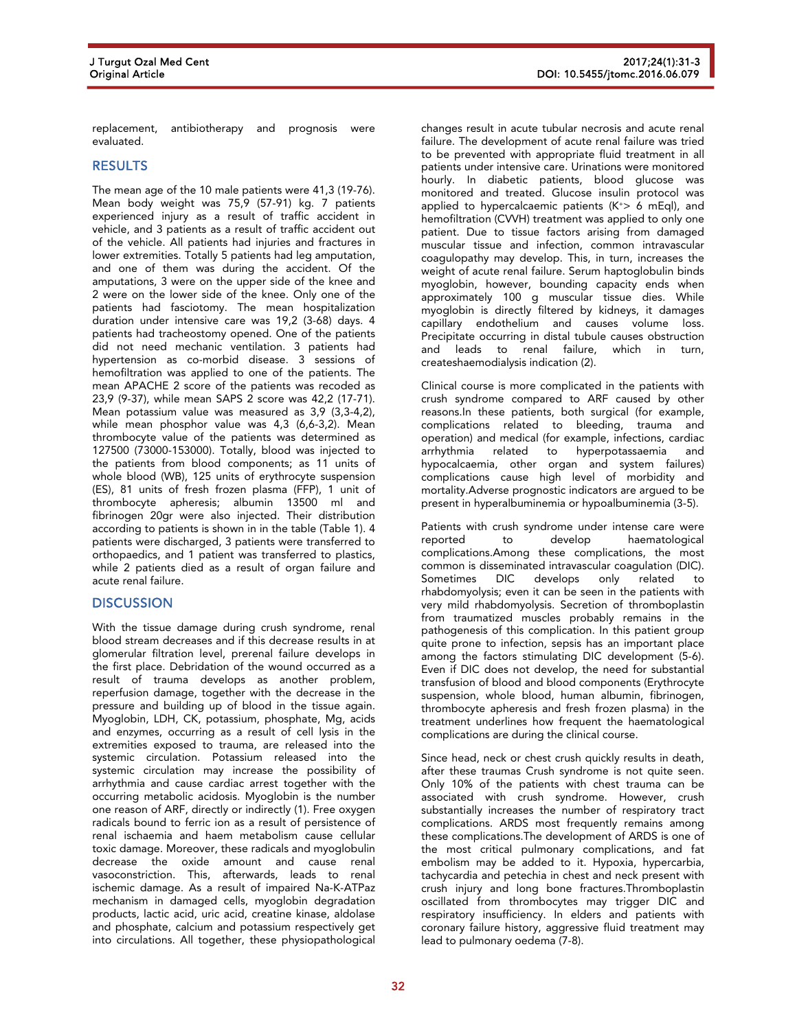replacement, antibiotherapy and prognosis were evaluated.

## **RESULTS**

The mean age of the 10 male patients were 41,3 (19-76). Mean body weight was 75,9 (57-91) kg. 7 patients experienced injury as a result of traffic accident in vehicle, and 3 patients as a result of traffic accident out of the vehicle. All patients had injuries and fractures in lower extremities. Totally 5 patients had leg amputation, and one of them was during the accident. Of the amputations, 3 were on the upper side of the knee and 2 were on the lower side of the knee. Only one of the patients had fasciotomy. The mean hospitalization duration under intensive care was 19,2 (3-68) days. 4 patients had tracheostomy opened. One of the patients did not need mechanic ventilation. 3 patients had hypertension as co-morbid disease. 3 sessions of hemofiltration was applied to one of the patients. The mean APACHE 2 score of the patients was recoded as 23,9 (9-37), while mean SAPS 2 score was 42,2 (17-71). Mean potassium value was measured as 3,9 (3,3-4,2), while mean phosphor value was 4,3 (6,6-3,2). Mean thrombocyte value of the patients was determined as 127500 (73000-153000). Totally, blood was injected to the patients from blood components; as 11 units of whole blood (WB), 125 units of erythrocyte suspension (ES), 81 units of fresh frozen plasma (FFP), 1 unit of thrombocyte apheresis; albumin 13500 ml and fibrinogen 20gr were also injected. Their distribution according to patients is shown in in the table (Table 1). 4 patients were discharged, 3 patients were transferred to orthopaedics, and 1 patient was transferred to plastics, while 2 patients died as a result of organ failure and acute renal failure.

### **DISCUSSION**

With the tissue damage during crush syndrome, renal blood stream decreases and if this decrease results in at glomerular filtration level, prerenal failure develops in the first place. Debridation of the wound occurred as a result of trauma develops as another problem, reperfusion damage, together with the decrease in the pressure and building up of blood in the tissue again. Myoglobin, LDH, CK, potassium, phosphate, Mg, acids and enzymes, occurring as a result of cell lysis in the extremities exposed to trauma, are released into the systemic circulation. Potassium released into the systemic circulation may increase the possibility of arrhythmia and cause cardiac arrest together with the occurring metabolic acidosis. Myoglobin is the number one reason of ARF, directly or indirectly (1). Free oxygen radicals bound to ferric ion as a result of persistence of renal ischaemia and haem metabolism cause cellular toxic damage. Moreover, these radicals and myoglobulin decrease the oxide amount and cause renal vasoconstriction. This, afterwards, leads to renal ischemic damage. As a result of impaired Na-K-ATPaz mechanism in damaged cells, myoglobin degradation products, lactic acid, uric acid, creatine kinase, aldolase and phosphate, calcium and potassium respectively get into circulations. All together, these physiopathological

changes result in acute tubular necrosis and acute renal failure. The development of acute renal failure was tried to be prevented with appropriate fluid treatment in all patients under intensive care. Urinations were monitored hourly. In diabetic patients, blood glucose was monitored and treated. Glucose insulin protocol was applied to hypercalcaemic patients  $(K^+> 6 \text{ mEql})$ , and hemofiltration (CVVH) treatment was applied to only one patient. Due to tissue factors arising from damaged muscular tissue and infection, common intravascular coagulopathy may develop. This, in turn, increases the weight of acute renal failure. Serum haptoglobulin binds myoglobin, however, bounding capacity ends when approximately 100 g muscular tissue dies. While myoglobin is directly filtered by kidneys, it damages capillary endothelium and causes volume loss. Precipitate occurring in distal tubule causes obstruction and leads to renal failure, which in turn, createshaemodialysis indication (2).

Clinical course is more complicated in the patients with crush syndrome compared to ARF caused by other reasons.In these patients, both surgical (for example, complications related to bleeding, trauma and operation) and medical (for example, infections, cardiac arrhythmia related to hyperpotassaemia and hypocalcaemia, other organ and system failures) complications cause high level of morbidity and mortality.Adverse prognostic indicators are argued to be present in hyperalbuminemia or hypoalbuminemia (3-5).

Patients with crush syndrome under intense care were reported to develop haematological complications.Among these complications, the most common is disseminated intravascular coagulation (DIC). develops only related to rhabdomyolysis; even it can be seen in the patients with very mild rhabdomyolysis. Secretion of thromboplastin from traumatized muscles probably remains in the pathogenesis of this complication. In this patient group quite prone to infection, sepsis has an important place among the factors stimulating DIC development (5-6). Even if DIC does not develop, the need for substantial transfusion of blood and blood components (Erythrocyte suspension, whole blood, human albumin, fibrinogen, thrombocyte apheresis and fresh frozen plasma) in the treatment underlines how frequent the haematological complications are during the clinical course.

Since head, neck or chest crush quickly results in death, after these traumas Crush syndrome is not quite seen. Only 10% of the patients with chest trauma can be associated with crush syndrome. However, crush substantially increases the number of respiratory tract complications. ARDS most frequently remains among these complications.The development of ARDS is one of the most critical pulmonary complications, and fat embolism may be added to it. Hypoxia, hypercarbia, tachycardia and petechia in chest and neck present with crush injury and long bone fractures.Thromboplastin oscillated from thrombocytes may trigger DIC and respiratory insufficiency. In elders and patients with coronary failure history, aggressive fluid treatment may lead to pulmonary oedema (7-8).